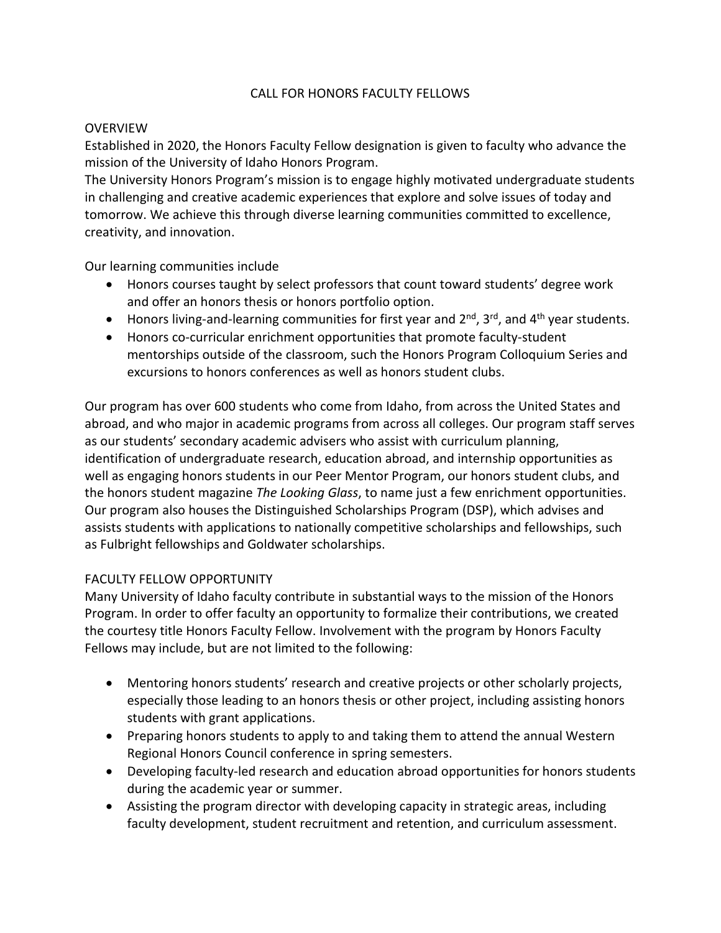## CALL FOR HONORS FACULTY FELLOWS

#### **OVERVIEW**

Established in 2020, the Honors Faculty Fellow designation is given to faculty who advance the mission of the University of Idaho Honors Program.

The University Honors Program's mission is to engage highly motivated undergraduate students in challenging and creative academic experiences that explore and solve issues of today and tomorrow. We achieve this through diverse learning communities committed to excellence, creativity, and innovation.

Our learning communities include

- Honors courses taught by select professors that count toward students' degree work and offer an honors thesis or honors portfolio option.
- Honors living-and-learning communities for first year and  $2^{nd}$ ,  $3^{rd}$ , and  $4^{th}$  year students.
- Honors co-curricular enrichment opportunities that promote faculty-student mentorships outside of the classroom, such the Honors Program Colloquium Series and excursions to honors conferences as well as honors student clubs.

Our program has over 600 students who come from Idaho, from across the United States and abroad, and who major in academic programs from across all colleges. Our program staff serves as our students' secondary academic advisers who assist with curriculum planning, identification of undergraduate research, education abroad, and internship opportunities as well as engaging honors students in our Peer Mentor Program, our honors student clubs, and the honors student magazine *The Looking Glass*, to name just a few enrichment opportunities. Our program also houses the Distinguished Scholarships Program (DSP), which advises and assists students with applications to nationally competitive scholarships and fellowships, such as Fulbright fellowships and Goldwater scholarships.

## FACULTY FELLOW OPPORTUNITY

Many University of Idaho faculty contribute in substantial ways to the mission of the Honors Program. In order to offer faculty an opportunity to formalize their contributions, we created the courtesy title Honors Faculty Fellow. Involvement with the program by Honors Faculty Fellows may include, but are not limited to the following:

- Mentoring honors students' research and creative projects or other scholarly projects, especially those leading to an honors thesis or other project, including assisting honors students with grant applications.
- Preparing honors students to apply to and taking them to attend the annual Western Regional Honors Council conference in spring semesters.
- Developing faculty-led research and education abroad opportunities for honors students during the academic year or summer.
- Assisting the program director with developing capacity in strategic areas, including faculty development, student recruitment and retention, and curriculum assessment.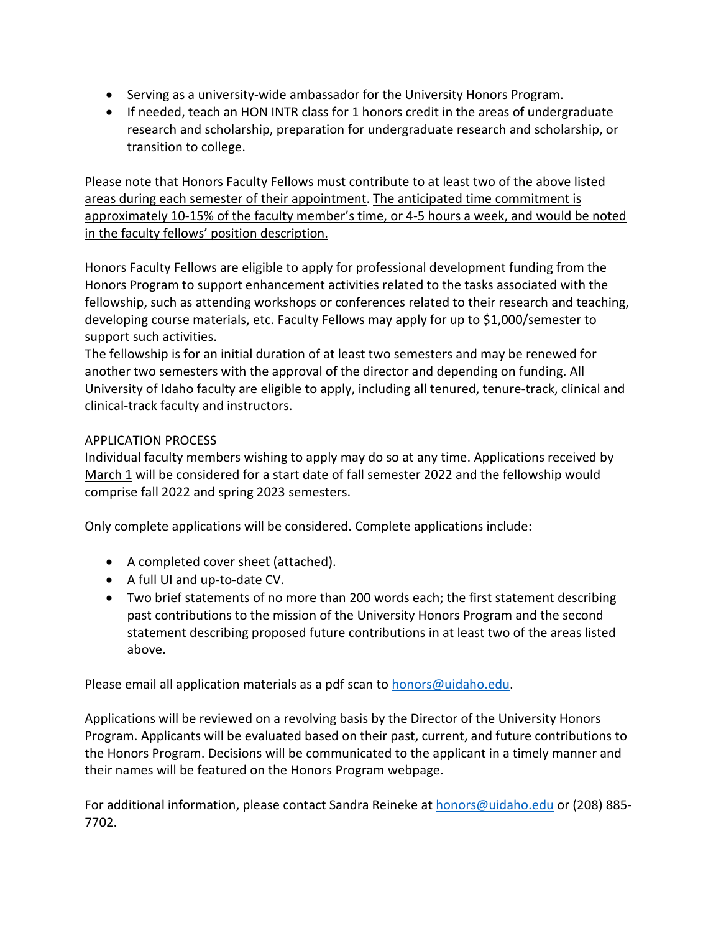- Serving as a university-wide ambassador for the University Honors Program.
- If needed, teach an HON INTR class for 1 honors credit in the areas of undergraduate research and scholarship, preparation for undergraduate research and scholarship, or transition to college.

Please note that Honors Faculty Fellows must contribute to at least two of the above listed areas during each semester of their appointment. The anticipated time commitment is approximately 10-15% of the faculty member's time, or 4-5 hours a week, and would be noted in the faculty fellows' position description.

Honors Faculty Fellows are eligible to apply for professional development funding from the Honors Program to support enhancement activities related to the tasks associated with the fellowship, such as attending workshops or conferences related to their research and teaching, developing course materials, etc. Faculty Fellows may apply for up to \$1,000/semester to support such activities.

The fellowship is for an initial duration of at least two semesters and may be renewed for another two semesters with the approval of the director and depending on funding. All University of Idaho faculty are eligible to apply, including all tenured, tenure-track, clinical and clinical-track faculty and instructors.

# APPLICATION PROCESS

Individual faculty members wishing to apply may do so at any time. Applications received by March 1 will be considered for a start date of fall semester 2022 and the fellowship would comprise fall 2022 and spring 2023 semesters.

Only complete applications will be considered. Complete applications include:

- A completed cover sheet (attached).
- A full UI and up-to-date CV.
- Two brief statements of no more than 200 words each; the first statement describing past contributions to the mission of the University Honors Program and the second statement describing proposed future contributions in at least two of the areas listed above.

Please email all application materials as a pdf scan to **honors@uidaho.edu**.

Applications will be reviewed on a revolving basis by the Director of the University Honors Program. Applicants will be evaluated based on their past, current, and future contributions to the Honors Program. Decisions will be communicated to the applicant in a timely manner and their names will be featured on the Honors Program webpage.

For additional information, please contact Sandra Reineke at [honors@uidaho.edu](mailto:honors@uidaho.edu) or (208) 885- 7702.